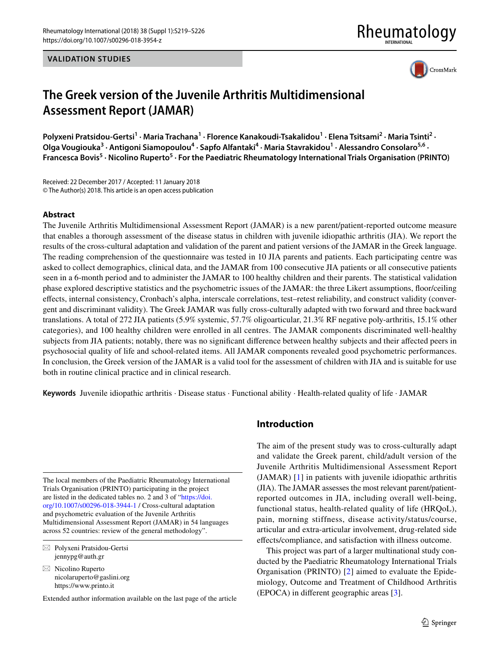**VALIDATION STUDIES**





# **The Greek version of the Juvenile Arthritis Multidimensional Assessment Report (JAMAR)**

Polyxeni Pratsidou-Gertsi<sup>1</sup> · Maria Trachana<sup>1</sup> · Florence Kanakoudi-Tsakalidou<sup>1</sup> · Elena Tsitsami<sup>2</sup> · Maria Tsinti<sup>2</sup> · Olga Vougiouka<sup>3</sup> · Antigoni Siamopoulou<sup>4</sup> · Sapfo Alfantaki<sup>4</sup> · Maria Stavrakidou<sup>1</sup> · Alessandro Consolaro<sup>5,6</sup> · **Francesca Bovis<sup>5</sup> · Nicolino Ruperto<sup>5</sup> · For the Paediatric Rheumatology International Trials Organisation (PRINTO)**

Received: 22 December 2017 / Accepted: 11 January 2018 © The Author(s) 2018. This article is an open access publication

#### **Abstract**

The Juvenile Arthritis Multidimensional Assessment Report (JAMAR) is a new parent/patient-reported outcome measure that enables a thorough assessment of the disease status in children with juvenile idiopathic arthritis (JIA). We report the results of the cross-cultural adaptation and validation of the parent and patient versions of the JAMAR in the Greek language. The reading comprehension of the questionnaire was tested in 10 JIA parents and patients. Each participating centre was asked to collect demographics, clinical data, and the JAMAR from 100 consecutive JIA patients or all consecutive patients seen in a 6-month period and to administer the JAMAR to 100 healthy children and their parents. The statistical validation phase explored descriptive statistics and the psychometric issues of the JAMAR: the three Likert assumptions, foor/ceiling efects, internal consistency, Cronbach's alpha, interscale correlations, test–retest reliability, and construct validity (convergent and discriminant validity). The Greek JAMAR was fully cross-culturally adapted with two forward and three backward translations. A total of 272 JIA patients (5.9% systemic, 57.7% oligoarticular, 21.3% RF negative poly-arthritis, 15.1% other categories), and 100 healthy children were enrolled in all centres. The JAMAR components discriminated well-healthy subjects from JIA patients; notably, there was no signifcant diference between healthy subjects and their afected peers in psychosocial quality of life and school-related items. All JAMAR components revealed good psychometric performances. In conclusion, the Greek version of the JAMAR is a valid tool for the assessment of children with JIA and is suitable for use both in routine clinical practice and in clinical research.

**Keywords** Juvenile idiopathic arthritis · Disease status · Functional ability · Health-related quality of life · JAMAR

The local members of the Paediatric Rheumatology International Trials Organisation (PRINTO) participating in the project are listed in the dedicated tables no. 2 and 3 of "[https://doi.](https://doi.org/10.1007/s00296-018-3944-1) [org/10.1007/s00296-018-3944-1](https://doi.org/10.1007/s00296-018-3944-1) / Cross-cultural adaptation and psychometric evaluation of the Juvenile Arthritis Multidimensional Assessment Report (JAMAR) in 54 languages across 52 countries: review of the general methodology".

 $\boxtimes$  Polyxeni Pratsidou-Gertsi jennypg@auth.gr

 $\boxtimes$  Nicolino Ruperto nicolaruperto@gaslini.org https://www.printo.it

Extended author information available on the last page of the article

## **Introduction**

The aim of the present study was to cross-culturally adapt and validate the Greek parent, child/adult version of the Juvenile Arthritis Multidimensional Assessment Report (JAMAR) [\[1](#page-6-0)] in patients with juvenile idiopathic arthritis (JIA). The JAMAR assesses the most relevant parent/patientreported outcomes in JIA, including overall well-being, functional status, health-related quality of life (HRQoL), pain, morning stiffness, disease activity/status/course, articular and extra-articular involvement, drug-related side efects/compliance, and satisfaction with illness outcome.

This project was part of a larger multinational study conducted by the Paediatric Rheumatology International Trials Organisation (PRINTO) [[2](#page-6-1)] aimed to evaluate the Epidemiology, Outcome and Treatment of Childhood Arthritis (EPOCA) in diferent geographic areas [[3](#page-6-2)].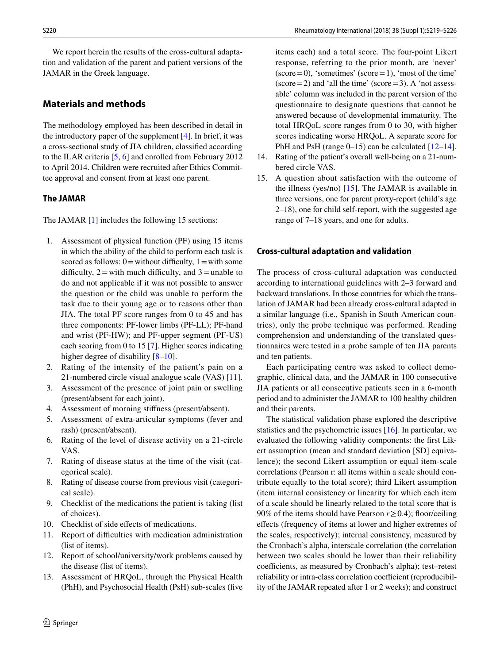We report herein the results of the cross-cultural adaptation and validation of the parent and patient versions of the JAMAR in the Greek language.

## **Materials and methods**

The methodology employed has been described in detail in the introductory paper of the supplement [[4\]](#page-6-3). In brief, it was a cross-sectional study of JIA children, classifed according to the ILAR criteria [[5,](#page-6-4) [6\]](#page-6-5) and enrolled from February 2012 to April 2014. Children were recruited after Ethics Committee approval and consent from at least one parent.

## **The JAMAR**

The JAMAR [[1\]](#page-6-0) includes the following 15 sections:

- 1. Assessment of physical function (PF) using 15 items in which the ability of the child to perform each task is scored as follows:  $0 =$  without difficulty,  $1 =$  with some difficulty,  $2 =$  with much difficulty, and  $3 =$ unable to do and not applicable if it was not possible to answer the question or the child was unable to perform the task due to their young age or to reasons other than JIA. The total PF score ranges from 0 to 45 and has three components: PF-lower limbs (PF-LL); PF-hand and wrist (PF-HW); and PF-upper segment (PF-US) each scoring from 0 to 15 [\[7](#page-6-6)]. Higher scores indicating higher degree of disability  $[8-10]$  $[8-10]$ .
- 2. Rating of the intensity of the patient's pain on a 21-numbered circle visual analogue scale (VAS) [\[11](#page-6-9)].
- 3. Assessment of the presence of joint pain or swelling (present/absent for each joint).
- 4. Assessment of morning stifness (present/absent).
- 5. Assessment of extra-articular symptoms (fever and rash) (present/absent).
- 6. Rating of the level of disease activity on a 21-circle VAS.
- 7. Rating of disease status at the time of the visit (categorical scale).
- 8. Rating of disease course from previous visit (categorical scale).
- 9. Checklist of the medications the patient is taking (list of choices).
- 10. Checklist of side efects of medications.
- 11. Report of difficulties with medication administration (list of items).
- 12. Report of school/university/work problems caused by the disease (list of items).
- 13. Assessment of HRQoL, through the Physical Health (PhH), and Psychosocial Health (PsH) sub-scales (fve

items each) and a total score. The four-point Likert response, referring to the prior month, are 'never'  $(\text{score}=0)$ , 'sometimes'  $(\text{score}=1)$ , 'most of the time'  $(\text{score}=2)$  and 'all the time'  $(\text{score}=3)$ . A 'not assessable' column was included in the parent version of the questionnaire to designate questions that cannot be answered because of developmental immaturity. The total HRQoL score ranges from 0 to 30, with higher scores indicating worse HRQoL. A separate score for PhH and PsH (range 0–15) can be calculated [\[12](#page-6-10)[–14](#page-6-11)].

- 14. Rating of the patient's overall well-being on a 21-numbered circle VAS.
- 15. A question about satisfaction with the outcome of the illness (yes/no) [[15\]](#page-6-12). The JAMAR is available in three versions, one for parent proxy-report (child's age 2–18), one for child self-report, with the suggested age range of 7–18 years, and one for adults.

## **Cross‑cultural adaptation and validation**

The process of cross-cultural adaptation was conducted according to international guidelines with 2–3 forward and backward translations. In those countries for which the translation of JAMAR had been already cross-cultural adapted in a similar language (i.e., Spanish in South American countries), only the probe technique was performed. Reading comprehension and understanding of the translated questionnaires were tested in a probe sample of ten JIA parents and ten patients.

Each participating centre was asked to collect demographic, clinical data, and the JAMAR in 100 consecutive JIA patients or all consecutive patients seen in a 6-month period and to administer the JAMAR to 100 healthy children and their parents.

The statistical validation phase explored the descriptive statistics and the psychometric issues [\[16\]](#page-6-13). In particular, we evaluated the following validity components: the frst Likert assumption (mean and standard deviation [SD] equivalence); the second Likert assumption or equal item-scale correlations (Pearson r: all items within a scale should contribute equally to the total score); third Likert assumption (item internal consistency or linearity for which each item of a scale should be linearly related to the total score that is 90% of the items should have Pearson *r*≥0.4); foor/ceiling efects (frequency of items at lower and higher extremes of the scales, respectively); internal consistency, measured by the Cronbach's alpha, interscale correlation (the correlation between two scales should be lower than their reliability coefficients, as measured by Cronbach's alpha); test-retest reliability or intra-class correlation coefficient (reproducibility of the JAMAR repeated after 1 or 2 weeks); and construct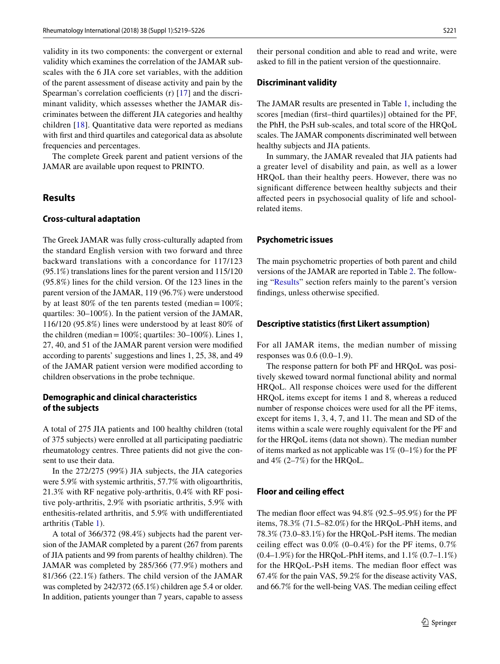validity in its two components: the convergent or external validity which examines the correlation of the JAMAR subscales with the 6 JIA core set variables, with the addition of the parent assessment of disease activity and pain by the Spearman's correlation coefficients  $(r)$  [[17\]](#page-6-14) and the discriminant validity, which assesses whether the JAMAR discriminates between the diferent JIA categories and healthy children [[18](#page-6-15)]. Quantitative data were reported as medians with frst and third quartiles and categorical data as absolute frequencies and percentages.

The complete Greek parent and patient versions of the JAMAR are available upon request to PRINTO.

## <span id="page-2-0"></span>**Results**

#### **Cross‑cultural adaptation**

The Greek JAMAR was fully cross-culturally adapted from the standard English version with two forward and three backward translations with a concordance for 117/123 (95.1%) translations lines for the parent version and 115/120 (95.8%) lines for the child version. Of the 123 lines in the parent version of the JAMAR, 119 (96.7%) were understood by at least 80% of the ten parents tested (median =  $100\%$ ; quartiles: 30–100%). In the patient version of the JAMAR, 116/120 (95.8%) lines were understood by at least 80% of the children (median =  $100\%$ ; quartiles:  $30-100\%$ ). Lines 1, 27, 40, and 51 of the JAMAR parent version were modifed according to parents' suggestions and lines 1, 25, 38, and 49 of the JAMAR patient version were modifed according to children observations in the probe technique.

### **Demographic and clinical characteristics of the subjects**

A total of 275 JIA patients and 100 healthy children (total of 375 subjects) were enrolled at all participating paediatric rheumatology centres. Three patients did not give the consent to use their data.

In the 272/275 (99%) JIA subjects, the JIA categories were 5.9% with systemic arthritis, 57.7% with oligoarthritis, 21.3% with RF negative poly-arthritis, 0.4% with RF positive poly-arthritis, 2.9% with psoriatic arthritis, 5.9% with enthesitis-related arthritis, and 5.9% with undiferentiated arthritis (Table [1](#page-3-0)).

A total of 366/372 (98.4%) subjects had the parent version of the JAMAR completed by a parent (267 from parents of JIA patients and 99 from parents of healthy children). The JAMAR was completed by 285/366 (77.9%) mothers and 81/366 (22.1%) fathers. The child version of the JAMAR was completed by 242/372 (65.1%) children age 5.4 or older. In addition, patients younger than 7 years, capable to assess their personal condition and able to read and write, were asked to fll in the patient version of the questionnaire.

#### **Discriminant validity**

The JAMAR results are presented in Table [1](#page-3-0), including the scores [median (frst–third quartiles)] obtained for the PF, the PhH, the PsH sub-scales, and total score of the HRQoL scales. The JAMAR components discriminated well between healthy subjects and JIA patients.

In summary, the JAMAR revealed that JIA patients had a greater level of disability and pain, as well as a lower HRQoL than their healthy peers. However, there was no signifcant diference between healthy subjects and their afected peers in psychosocial quality of life and schoolrelated items.

#### **Psychometric issues**

The main psychometric properties of both parent and child versions of the JAMAR are reported in Table [2.](#page-4-0) The following "[Results"](#page-2-0) section refers mainly to the parent's version fndings, unless otherwise specifed.

#### **Descriptive statistics (frst Likert assumption)**

For all JAMAR items, the median number of missing responses was 0.6 (0.0–1.9).

The response pattern for both PF and HRQoL was positively skewed toward normal functional ability and normal HRQoL. All response choices were used for the diferent HRQoL items except for items 1 and 8, whereas a reduced number of response choices were used for all the PF items, except for items 1, 3, 4, 7, and 11. The mean and SD of the items within a scale were roughly equivalent for the PF and for the HRQoL items (data not shown). The median number of items marked as not applicable was  $1\%$  (0–1%) for the PF and 4% (2–7%) for the HRQoL.

#### **Floor and ceiling efect**

The median foor efect was 94.8% (92.5–95.9%) for the PF items, 78.3% (71.5–82.0%) for the HRQoL-PhH items, and 78.3% (73.0–83.1%) for the HRQoL-PsH items. The median ceiling effect was  $0.0\%$  (0–0.4%) for the PF items,  $0.7\%$  $(0.4–1.9\%)$  for the HROoL-PhH items, and  $1.1\%$   $(0.7–1.1\%)$ for the HRQoL-PsH items. The median floor effect was 67.4% for the pain VAS, 59.2% for the disease activity VAS, and 66.7% for the well-being VAS. The median ceiling efect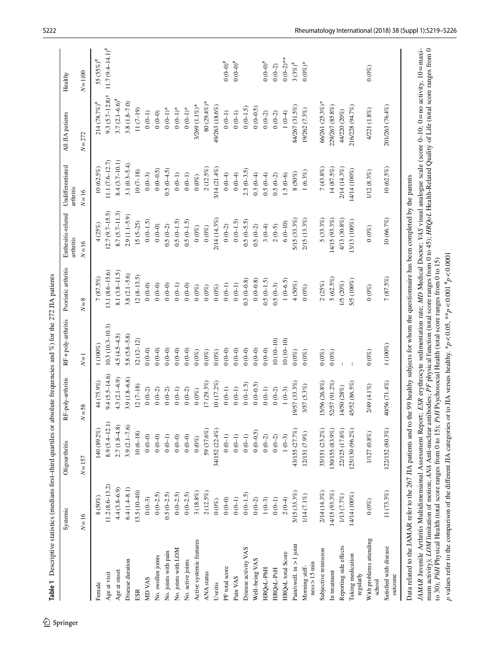|                                   | Systemic         | Oligoarthritis     | RF-poly-arthritis  | RF+poly-arthritis Psoriatic arthritis |                      | Enthesitis-related<br>arthritis | Undifferentiated<br>arthritis | All JIA patients            | Healthy                |
|-----------------------------------|------------------|--------------------|--------------------|---------------------------------------|----------------------|---------------------------------|-------------------------------|-----------------------------|------------------------|
|                                   | $N=16$           | $N = 157$          | $N = 58$           | $N=1$                                 | $N=8$                | $N=16$                          | $N = 16$                      | $N = 272$                   | $N = 1(00)$            |
| Female                            | 8 (50%)          | 140 (89.2%)        | 44 (75.9%)         | 1(100%)                               | 7(87.5%)             | 4(25%)                          | 10 (62.5%)                    | $214 (78.7\%)$ <sup>#</sup> | $55 (55\%)$ #          |
| Age at visit                      | $11.2(8.6-13.2)$ | 8.9 (5.4-12.1)     | $9.4(5.5 - 14.6)$  | $10.3(10.3 - 10.3)$                   | $[3.1 (8.6 - 15.6)]$ | $(2.7 (9.7 - 15.5))$            | $11.1(7.6-12.7)$              | $9.3 (5.7 - 12.8)$ *        | $11.7(9.4 - 14.1)^{*}$ |
| Age at onset                      | $4.4(3.8-6.9)$   | $2.7(1.8-4.8)$     | $4.3(2.1 - 6.9)$   | $4.5(4.5-4.5)$                        | $8.1(3.8 - 11.5)$    | $8.7(5.7 - 11.3)$               | $8.4(3.7-10.1)$               | $3.7(2.1 - 6.6)^{*}$        |                        |
| Disease duration                  | $6.4(1.4-8.1)$   | $3.9(2.1 - 7.6)$   | $3.9(1.8 - 6.8)$   | $5.8(5.8-5.8)$                        | $3.8(2.1 - 5.6)$     | $2.9(1.1-5.9)$                  | 3.1 $(0.3 - 5.4)$             | $3.8(1.8 - 7.0)$            |                        |
| ESR                               | $13.5(10-40)$    | $10(6-18)$         | $12(7-18)$         | $12(12-12)$                           | $12(8-13.5)$         | $15(5-25)$                      | $10(7-18)$                    | $11(7-19)$                  |                        |
| MD VAS                            | $0(0-3)$         | $0(0-0)$           | $0(0-2)$           | $(0 - 0)$                             | $(0 - 0)$            | $(0 - 1.5)$                     | $0(0-3)$                      | $0(0-1)$                    |                        |
| No. swollen joints                | $0(0-2.5)$       | $(0-0)$            | $0(0-2)$           | $(0 - 0)$                             | $(0 - 0)$            | $(0 - 0)$                       | $(0 - 0.5)$                   | $(0 - 0)$                   |                        |
| No. joints with pain              | $0.5(0-2.5)$     | $0(0-1)$           | $0$ $(0-2)$        | $(0 - 0)$                             | $(0 - 0)$            | $0.5(0-2)$                      | $0.5(0-4.5)$                  | $0(0-1)*$                   |                        |
| No. joints with LOM               | $0(0-2.5)$       | $(0 - 0)$          | $0(0-1)$           | $(0 - 0)$                             | $0(0-1)$             | $0.5(0-1.5)$                    | $(0 - 1)$                     | $0(0-1)*$                   |                        |
| No. active joints                 | $0(0-2.5)$       | $0(0-0)$           | $0\ (0\text{--}2)$ | $(0 - 0)$                             | $(0-0)$ 0            | $0.5(0-1.5)$                    | $0(0-1)$                      | $0(0-1)*$                   |                        |
| Active systemic features          | $3(18.8\%)$      | $0\ (0\%)$         | $0\ (0\%)$         | $0\ (0\%)$                            | $0\ (0\%)$           | $0\ (0\%)$                      | $0\ (0\%)$                    | 3/269 (1.1%)*               |                        |
| ANA status                        | 2(12.5%          | 59 (37.6%)         | 17(29.3%)          | $0\ (0\%)$                            | $0\ (0\%)$           | $0\ (0\%)$                      | 2(12.5%)                      | 80 $(29.4\%)$ *             |                        |
| Uveitis                           | $0\ (0\%)$       | 34/152 (22.4%)     | 10(17.2%)          | $0\ (0\%)$                            | $0\ (0\%)$           | 2/14 (14.3%)                    | 3/14 (21.4%)                  | 49/263 (18.6%)              |                        |
| PF total score                    | $(0 - 0)$        | $0(0-1)$           | $0(0-1)$           | $(0 - 0)$                             | $0(0-1)$             | $0(0-2)$                        | $(0 - 4)$                     | $0(0-1)$                    | $0 (0 - 0)^*$          |
| Pain VAS                          | $0(0-1)$         | $(0 - 1)$          | $(0 - 1)$          | $(0 - 0)$                             | $(0 - 1)$            | $(0(-1.5))$                     | $(0 - 4)$                     | $0(0-1)$                    | $0 (0 - 0)^{*}$        |
| Disease activity VAS              | $(0 - 1.5)$      | $(0 - 1)$          | $(0 - 1.5)$        | $(0 - 0)$                             | $0.3(0 - 0.8)$       | $0.5(0-5.5)$                    | $2.5(0-3.5)$                  | $(0(-1.5))$                 |                        |
| Well-being VAS                    | $0$ $(0-2)$      | $0(0-0.5)$         | $(0 - 0.5)$        | $(0 - 0)$                             | $0(0-0.8)$           | $0.5(0-2)$                      | $0.3(0-4)$                    | $(0 - 0.5)$                 |                        |
| HRQoL-PhH                         | $1(0-3)$         | $0\ (0\hbox{--}2)$ | $(0 - 1)$          | $0(0-0)$                              | $0.5(0-1.5)$         | $3(0-4)$                        | $(6-4)$                       | $0(0-2)$                    | $0 (0 - 0)^*$          |
| HRQoL-PsH                         | $0(0-1)$         | $0\ (0\text{--}2)$ | $0(0-2)$           | $10(10-10)$                           | $0.5(0-3)$           | $2(0-5)$                        | $0.5(0-2)$                    | $0(0-2)$                    | $0(0-2)$               |
| HRQoL total Score                 | $2(0-4)$         | $1(0-3)$           | $1(0-3)$           | $10(10-10)$                           | $1(0-6.5)$           | $6(0-10)$                       | $1.5(0-6)$                    | $1(0-4)$                    | $0(0-2)$ **            |
| Pain/swell. in $> 1$ joint        | 5/15 (33.3%)     | 43/155 (27.7%)     | 19/57 (33.3%)      | $0\ (0\%)$                            | $4(50\%)$            | 5/15 (33.3%)                    | $8(50\%)$                     | 84/267 (31.5%)              | $3 (3\%)^{\#}$         |
| ness > 15 min<br>Morning stiff-   | 1/14 (7.1%)      | 12/151 (7.9%)      | 3/57 (5.3%)        | $0\ (0\%)$                            | $0\ (0\%)$           | 2/15 (13.3%)                    | $1(6.3\%)$                    | 19/262 (7.3%)               | $0\ (0\%)^*$           |
| Subjective remission              | 2/14 (14.3%)     | 35/151 (23.2%)     | 15/56 (26.8%)      | $0\ (0\%)$                            | $2\ (25\%)$          | 5(33.3%)                        | 7(43.8%)                      | 66/261 (25.3%)*             |                        |
| In treatment                      | 4/15 (93.3%)     | 30/155 (83.9%)     | 52/57 (91.2%)      | $0\ (0\%)$                            | $5(62.5\%)$          | [4/15 (93.3%)                   | 14 (87.5%)                    | 229/267 (85.8%)             |                        |
| Reporting side effects            | 1/13 (7.7%)      | 22/125 (17.6%)     | 14/50 (28%)        |                                       | 15 (20%)             | 4/13 (30.8%)                    | 2/14 (14.3%)                  | 44/220 (20%)                |                        |
| Taking medication<br>regularly    | 4/14 (100%)      | 25/130 (96.2%)     | 45/52 (86.5%)      |                                       | 5/5 (100%)           | 3/13 (100%)                     | 4/14 (100%)                   | 216/228 (94.7%)             |                        |
| With problems attending<br>school | $0\ (0\%)$       | $1/127\ (0.8\%)$   | 2/49 (4.1%)        | $0\ (0\%)$                            | $0\ (0\%)$           | $0\ (0\%)$                      | 1/12 (8.3%)                   | 4/221 (1.8%)                | $0(0\%)$               |
| Satisfied with disease<br>outcome | 11 (73.3%)       | 122/152 (80.3%)    | 40/56 (71.4%)      | 1 (100%)                              | 7 (87.5%)            | 10 (66.7%)                      | 10(62.5%)                     | 201/263 (76.4%)             |                        |

<span id="page-3-0"></span>2 Springer

*JAMAR* Juvenile Arthritis Multidimensional Assessment Report; *ESR* erythrocyte sedimentation rate; *MD* Medical Doctor; *VAS* visual analogue scale (score 0–10; 0=no activity, 10=maximum activity); *LOM* limitation of motion; *ANA* Anti-nuclear antibodies; *PF* physical function (total score ranges from 0 to 45); *HRQoL* Health-Related Quality of Life (total score ranges from 0

JAMAR Juvenile Arthritis Multidimensional Assessment Report; ESR erythrocyte sedimentation rate; MD Medical Doctor; VAS visual analogue scale (score 0–10; 0=no activity, 10=maximum activity); LOM limitation of motion; ANA

to 30); *PhH* Physical Health (total score ranges from 0 to 15); *PsH* Psychosocial Health (total score ranges from 0 to 15) *p* values refer to the comparison of the different JIA categories or to JIA versus healthy. \**p*<0.05, \*\**p*<0.001  $\frac{h}{\rho}$ <0.0001

p values refer to the comparison of the different IIA categories or to IIA versus healthy. \* $p \lt 0.05$ , \*\* $p \lt 0.001$  \* $p \lt 0.0001$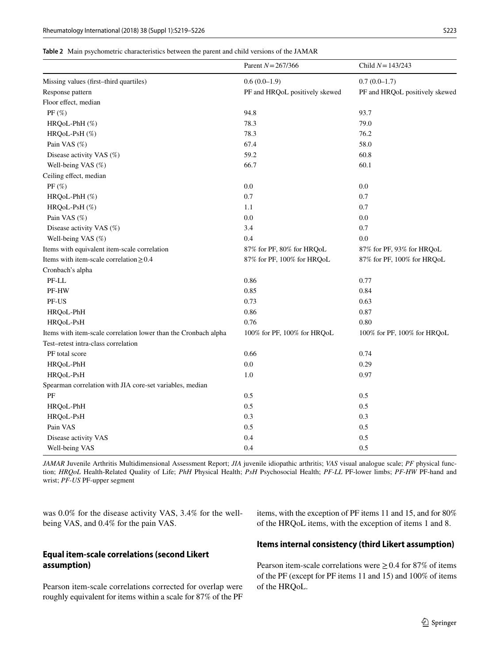<span id="page-4-0"></span>

|  | Table 2 Main psychometric characteristics between the parent and child versions of the JAMAR |  |  |  |  |  |  |  |
|--|----------------------------------------------------------------------------------------------|--|--|--|--|--|--|--|
|--|----------------------------------------------------------------------------------------------|--|--|--|--|--|--|--|

|                                                                 | Parent $N = 267/366$           | Child $N = 143/243$            |  |
|-----------------------------------------------------------------|--------------------------------|--------------------------------|--|
| Missing values (first-third quartiles)                          | $0.6(0.0-1.9)$                 | $0.7(0.0-1.7)$                 |  |
| Response pattern                                                | PF and HRQoL positively skewed | PF and HRQoL positively skewed |  |
| Floor effect, median                                            |                                |                                |  |
| $PF(\%)$                                                        | 94.8                           | 93.7                           |  |
| HRQoL-PhH (%)                                                   | 78.3                           | 79.0                           |  |
| HRQoL-PsH (%)                                                   | 78.3                           | 76.2                           |  |
| Pain VAS (%)                                                    | 67.4                           | 58.0                           |  |
| Disease activity VAS (%)                                        | 59.2                           | 60.8                           |  |
| Well-being VAS (%)                                              | 66.7                           | 60.1                           |  |
| Ceiling effect, median                                          |                                |                                |  |
| $PF(\%)$                                                        | 0.0                            | 0.0                            |  |
| HRQoL-PhH (%)                                                   | 0.7                            | 0.7                            |  |
| HRQoL-PsH $(\%)$                                                | 1.1                            | 0.7                            |  |
| Pain VAS (%)                                                    | $0.0\,$                        | 0.0                            |  |
| Disease activity VAS (%)                                        | 3.4                            | 0.7                            |  |
| Well-being VAS (%)                                              | 0.4                            | 0.0                            |  |
| Items with equivalent item-scale correlation                    | 87% for PF, 80% for HRQoL      | 87% for PF, 93% for HRQoL      |  |
| Items with item-scale correlation $\geq 0.4$                    | 87% for PF, 100% for HRQoL     | 87% for PF, 100% for HRQoL     |  |
| Cronbach's alpha                                                |                                |                                |  |
| PF-LL                                                           | 0.86                           | 0.77                           |  |
| PF-HW                                                           | 0.85                           | 0.84                           |  |
| PF-US                                                           | 0.73                           | 0.63                           |  |
| HRQoL-PhH                                                       | 0.86                           | 0.87                           |  |
| HRQoL-PsH                                                       | 0.76                           | 0.80                           |  |
| Items with item-scale correlation lower than the Cronbach alpha | 100% for PF, 100% for HRQoL    | 100% for PF, 100% for HRQoL    |  |
| Test-retest intra-class correlation                             |                                |                                |  |
| PF total score                                                  | 0.66                           | 0.74                           |  |
| HRQoL-PhH                                                       | 0.0                            | 0.29                           |  |
| HRQoL-PsH                                                       | 1.0                            | 0.97                           |  |
| Spearman correlation with JIA core-set variables, median        |                                |                                |  |
| PF                                                              | 0.5                            | 0.5                            |  |
| HRQoL-PhH                                                       | 0.5                            | 0.5                            |  |
| HRQoL-PsH                                                       | 0.3                            | 0.3                            |  |
| Pain VAS                                                        | 0.5                            | 0.5                            |  |
| Disease activity VAS                                            | 0.4                            | 0.5                            |  |
| Well-being VAS                                                  | 0.4                            | 0.5                            |  |

*JAMAR* Juvenile Arthritis Multidimensional Assessment Report; *JIA* juvenile idiopathic arthritis; *VAS* visual analogue scale; *PF* physical function; *HRQoL* Health-Related Quality of Life; *PhH* Physical Health; *PsH* Psychosocial Health; *PF-LL* PF-lower limbs; *PF-HW* PF-hand and wrist; *PF-US* PF-upper segment

was 0.0% for the disease activity VAS, 3.4% for the wellbeing VAS, and 0.4% for the pain VAS.

items, with the exception of PF items 11 and 15, and for 80% of the HRQoL items, with the exception of items 1 and 8.

## **Equal item‑scale correlations (second Likert assumption)**

Pearson item-scale correlations corrected for overlap were roughly equivalent for items within a scale for 87% of the PF

## **Items internal consistency (third Likert assumption)**

Pearson item-scale correlations were  $\geq$  0.4 for 87% of items of the PF (except for PF items 11 and 15) and 100% of items of the HRQoL.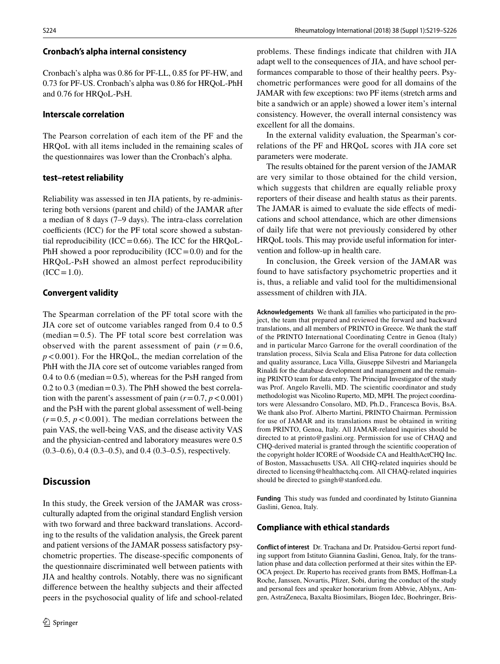### **Cronbach's alpha internal consistency**

Cronbach's alpha was 0.86 for PF-LL, 0.85 for PF-HW, and 0.73 for PF-US. Cronbach's alpha was 0.86 for HRQoL-PhH and 0.76 for HRQoL-PsH.

#### **Interscale correlation**

The Pearson correlation of each item of the PF and the HRQoL with all items included in the remaining scales of the questionnaires was lower than the Cronbach's alpha.

#### **test–retest reliability**

Reliability was assessed in ten JIA patients, by re-administering both versions (parent and child) of the JAMAR after a median of 8 days (7–9 days). The intra-class correlation coefficients (ICC) for the PF total score showed a substantial reproducibility (ICC =  $0.66$ ). The ICC for the HRQoL-PhH showed a poor reproducibility  $(ICC=0.0)$  and for the HRQoL-PsH showed an almost perfect reproducibility  $(ICC=1.0)$ .

## **Convergent validity**

The Spearman correlation of the PF total score with the JIA core set of outcome variables ranged from 0.4 to 0.5  $(median = 0.5)$ . The PF total score best correlation was observed with the parent assessment of pain  $(r=0.6,$  $p < 0.001$ ). For the HRQoL, the median correlation of the PhH with the JIA core set of outcome variables ranged from 0.4 to 0.6 (median =  $0.5$ ), whereas for the PsH ranged from 0.2 to 0.3 (median=0.3). The PhH showed the best correlation with the parent's assessment of pain  $(r=0.7, p<0.001)$ and the PsH with the parent global assessment of well-being  $(r=0.5, p<0.001)$ . The median correlations between the pain VAS, the well-being VAS, and the disease activity VAS and the physician-centred and laboratory measures were 0.5 (0.3–0.6), 0.4 (0.3–0.5), and 0.4 (0.3–0.5), respectively.

## **Discussion**

In this study, the Greek version of the JAMAR was crossculturally adapted from the original standard English version with two forward and three backward translations. According to the results of the validation analysis, the Greek parent and patient versions of the JAMAR possess satisfactory psychometric properties. The disease-specifc components of the questionnaire discriminated well between patients with JIA and healthy controls. Notably, there was no signifcant diference between the healthy subjects and their afected peers in the psychosocial quality of life and school-related

problems. These fndings indicate that children with JIA adapt well to the consequences of JIA, and have school performances comparable to those of their healthy peers. Psychometric performances were good for all domains of the JAMAR with few exceptions: two PF items (stretch arms and bite a sandwich or an apple) showed a lower item's internal consistency. However, the overall internal consistency was excellent for all the domains.

In the external validity evaluation, the Spearman's correlations of the PF and HRQoL scores with JIA core set parameters were moderate.

The results obtained for the parent version of the JAMAR are very similar to those obtained for the child version, which suggests that children are equally reliable proxy reporters of their disease and health status as their parents. The JAMAR is aimed to evaluate the side effects of medications and school attendance, which are other dimensions of daily life that were not previously considered by other HRQoL tools. This may provide useful information for intervention and follow-up in health care.

In conclusion, the Greek version of the JAMAR was found to have satisfactory psychometric properties and it is, thus, a reliable and valid tool for the multidimensional assessment of children with JIA.

**Acknowledgements** We thank all families who participated in the project, the team that prepared and reviewed the forward and backward translations, and all members of PRINTO in Greece. We thank the staf of the PRINTO International Coordinating Centre in Genoa (Italy) and in particular Marco Garrone for the overall coordination of the translation process, Silvia Scala and Elisa Patrone for data collection and quality assurance, Luca Villa, Giuseppe Silvestri and Mariangela Rinaldi for the database development and management and the remaining PRINTO team for data entry. The Principal Investigator of the study was Prof. Angelo Ravelli, MD. The scientifc coordinator and study methodologist was Nicolino Ruperto, MD, MPH. The project coordinators were Alessandro Consolaro, MD, Ph.D., Francesca Bovis, BsA. We thank also Prof. Alberto Martini, PRINTO Chairman. Permission for use of JAMAR and its translations must be obtained in writing from PRINTO, Genoa, Italy. All JAMAR-related inquiries should be directed to at printo@gaslini.org. Permission for use of CHAQ and CHQ-derived material is granted through the scientifc cooperation of the copyright holder ICORE of Woodside CA and HealthActCHQ Inc. of Boston, Massachusetts USA. All CHQ-related inquiries should be directed to licensing@healthactchq.com. All CHAQ-related inquiries should be directed to gsingh@stanford.edu.

**Funding** This study was funded and coordinated by Istituto Giannina Gaslini, Genoa, Italy.

## **Compliance with ethical standards**

**Conflict of interest** Dr. Trachana and Dr. Pratsidou-Gertsi report funding support from Istituto Giannina Gaslini, Genoa, Italy, for the translation phase and data collection performed at their sites within the EP-OCA project. Dr. Ruperto has received grants from BMS, Hofman-La Roche, Janssen, Novartis, Pfzer, Sobi, during the conduct of the study and personal fees and speaker honorarium from Abbvie, Ablynx, Amgen, AstraZeneca, Baxalta Biosimilars, Biogen Idec, Boehringer, Bris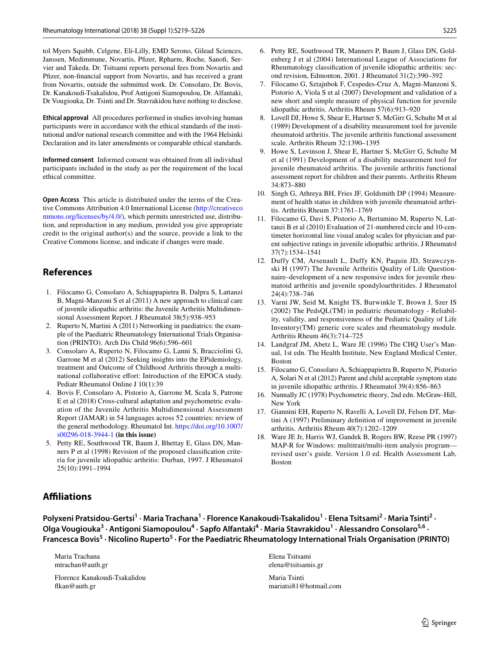tol Myers Squibb, Celgene, Eli-Lilly, EMD Serono, Gilead Sciences, Janssen, Medimmune, Novartis, Pfzer, Rpharm, Roche, Sanof, Servier and Takeda. Dr. Tsitsami reports personal fees from Novartis and Pfizer, non-financial support from Novartis, and has received a grant from Novartis, outside the submitted work. Dr. Consolaro, Dr. Bovis, Dr. Kanakoudi-Tsakalidou, Prof Antigoni Siamopoulou, Dr. Alfantaki, Dr Vougiouka, Dr. Tsinti and Dr. Stavrakidou have nothing to disclose.

**Ethical approval** All procedures performed in studies involving human participants were in accordance with the ethical standards of the institutional and/or national research committee and with the 1964 Helsinki Declaration and its later amendments or comparable ethical standards.

**Informed consent** Informed consent was obtained from all individual participants included in the study as per the requirement of the local ethical committee.

**Open Access** This article is distributed under the terms of the Creative Commons Attribution 4.0 International License [\(http://creativeco](http://creativecommons.org/licenses/by/4.0/) [mmons.org/licenses/by/4.0/](http://creativecommons.org/licenses/by/4.0/)), which permits unrestricted use, distribution, and reproduction in any medium, provided you give appropriate credit to the original author(s) and the source, provide a link to the Creative Commons license, and indicate if changes were made.

## **References**

- <span id="page-6-0"></span>1. Filocamo G, Consolaro A, Schiappapietra B, Dalpra S, Lattanzi B, Magni-Manzoni S et al (2011) A new approach to clinical care of juvenile idiopathic arthritis: the Juvenile Arthritis Multidimensional Assessment Report. J Rheumatol 38(5):938–953
- <span id="page-6-1"></span>2. Ruperto N, Martini A (2011) Networking in paediatrics: the example of the Paediatric Rheumatology International Trials Organisation (PRINTO). Arch Dis Child 96(6):596–601
- <span id="page-6-2"></span>3. Consolaro A, Ruperto N, Filocamo G, Lanni S, Bracciolini G, Garrone M et al (2012) Seeking insights into the EPidemiology, treatment and Outcome of Childhood Arthritis through a multinational collaborative effort: Introduction of the EPOCA study. Pediatr Rheumatol Online J 10(1):39
- <span id="page-6-3"></span>4. Bovis F, Consolaro A, Pistorio A, Garrone M, Scala S, Patrone E et al (2018) Cross-cultural adaptation and psychometric evaluation of the Juvenile Arthritis Multidimensional Assessment Report (JAMAR) in 54 languages across 52 countries: review of the general methodology. Rheumatol Int. [https://doi.org/10.1007/](https://doi.org/10.1007/s00296-018-3944-1) [s00296-018-3944-1](https://doi.org/10.1007/s00296-018-3944-1) **(in this issue)**
- <span id="page-6-4"></span>5. Petty RE, Southwood TR, Baum J, Bhettay E, Glass DN, Manners P et al (1998) Revision of the proposed classifcation criteria for juvenile idiopathic arthritis: Durban, 1997. J Rheumatol 25(10):1991–1994
- <span id="page-6-5"></span>6. Petty RE, Southwood TR, Manners P, Baum J, Glass DN, Goldenberg J et al (2004) International League of Associations for Rheumatology classifcation of juvenile idiopathic arthritis: second revision, Edmonton, 2001. J Rheumatol 31(2):390–392
- <span id="page-6-6"></span>7. Filocamo G, Sztajnbok F, Cespedes-Cruz A, Magni-Manzoni S, Pistorio A, Viola S et al (2007) Development and validation of a new short and simple measure of physical function for juvenile idiopathic arthritis. Arthritis Rheum 57(6):913–920
- <span id="page-6-7"></span>8. Lovell DJ, Howe S, Shear E, Hartner S, McGirr G, Schulte M et al (1989) Development of a disability measurement tool for juvenile rheumatoid arthritis. The juvenile arthritis functional assessment scale. Arthritis Rheum 32:1390–1395
- 9. Howe S, Levinson J, Shear E, Hartner S, McGirr G, Schulte M et al (1991) Development of a disability measurement tool for juvenile rheumatoid arthritis. The juvenile arthritis functional assessment report for children and their parents. Arthritis Rheum 34:873–880
- <span id="page-6-8"></span>10. Singh G, Athreya BH, Fries JF, Goldsmith DP (1994) Measurement of health status in children with juvenile rheumatoid arthritis. Arthritis Rheum 37:1761–1769
- <span id="page-6-9"></span>11. Filocamo G, Davi S, Pistorio A, Bertamino M, Ruperto N, Lattanzi B et al (2010) Evaluation of 21-numbered circle and 10-centimeter horizontal line visual analog scales for physician and parent subjective ratings in juvenile idiopathic arthritis. J Rheumatol 37(7):1534–1541
- <span id="page-6-10"></span>12. Duffy CM, Arsenault L, Duffy KN, Paquin JD, Strawczynski H (1997) The Juvenile Arthritis Quality of Life Questionnaire–development of a new responsive index for juvenile rheumatoid arthritis and juvenile spondyloarthritides. J Rheumatol 24(4):738–746
- 13. Varni JW, Seid M, Knight TS, Burwinkle T, Brown J, Szer IS (2002) The PedsQL(TM) in pediatric rheumatology - Reliability, validity, and responsiveness of the Pediatric Quality of Life Inventory(TM) generic core scales and rheumatology module. Arthritis Rheum 46(3):714–725
- <span id="page-6-11"></span>14. Landgraf JM, Abetz L, Ware JE (1996) The CHQ User's Manual, 1st edn. The Health Institute, New England Medical Center, Boston
- <span id="page-6-12"></span>15. Filocamo G, Consolaro A, Schiappapietra B, Ruperto N, Pistorio A, Solari N et al (2012) Parent and child acceptable symptom state in juvenile idiopathic arthritis. J Rheumatol 39(4):856–863
- <span id="page-6-13"></span>16. Nunnally JC (1978) Psychometric theory, 2nd edn. McGraw-Hill, New York
- <span id="page-6-14"></span>17. Giannini EH, Ruperto N, Ravelli A, Lovell DJ, Felson DT, Martini A (1997) Preliminary defnition of improvement in juvenile arthritis. Arthritis Rheum 40(7):1202–1209
- <span id="page-6-15"></span>18. Ware JE Jr, Harris WJ, Gandek B, Rogers BW, Reese PR (1997) MAP-R for Windows: multitrait/multi-item analysis program revised user's guide. Version 1.0 ed. Health Assessment Lab, Boston

## **Afliations**

Polyxeni Pratsidou-Gertsi<sup>1</sup> · Maria Trachana<sup>1</sup> · Florence Kanakoudi-Tsakalidou<sup>1</sup> · Elena Tsitsami<sup>2</sup> · Maria Tsinti<sup>2</sup> · Olga Vougiouka<sup>3</sup> · Antigoni Siamopoulou<sup>4</sup> · Sapfo Alfantaki<sup>4</sup> · Maria Stavrakidou<sup>1</sup> · Alessandro Consolaro<sup>5,6</sup> · **Francesca Bovis<sup>5</sup> · Nicolino Ruperto<sup>5</sup> · For the Paediatric Rheumatology International Trials Organisation (PRINTO)**

Maria Trachana mtrachan@auth.gr

Florence Kanakoudi-Tsakalidou fkan@auth.gr

Elena Tsitsami elena@tsitsamis.gr Maria Tsinti mariatsi81@hotmail.com